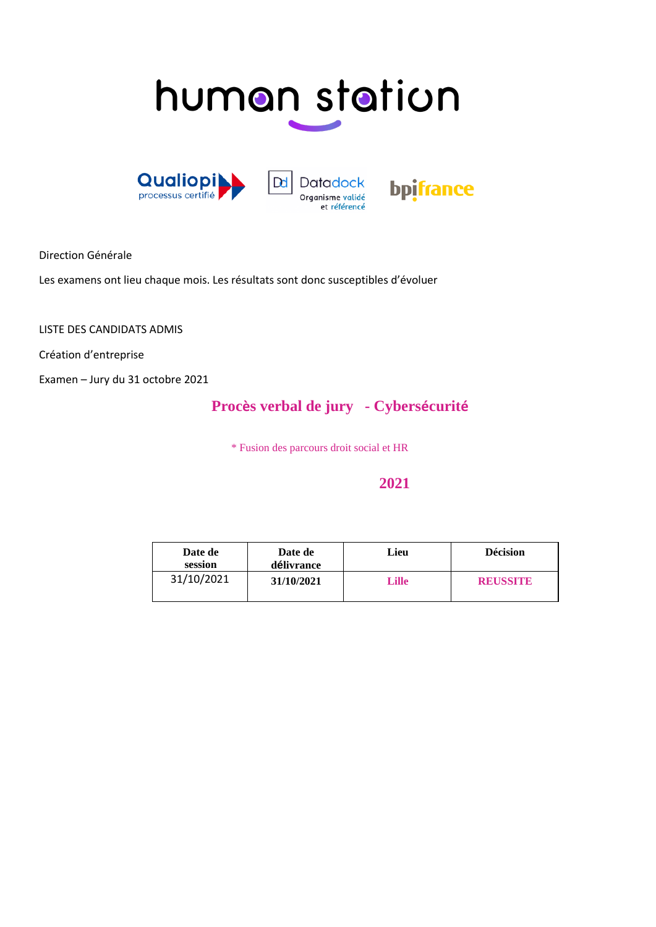# human station







Direction Générale

Les examens ont lieu chaque mois. Les résultats sont donc susceptibles d'évoluer

LISTE DES CANDIDATS ADMIS

Création d'entreprise

Examen – Jury du 31 octobre 2021

### **Procès verbal de jury - Cybersécurité**

\* Fusion des parcours droit social et HR

#### **2021**

| Date de<br>session | Date de<br>délivrance | Lieu         | <b>Décision</b> |  |  |
|--------------------|-----------------------|--------------|-----------------|--|--|
| 31/10/2021         | 31/10/2021            | <b>Lille</b> | <b>REUSSITE</b> |  |  |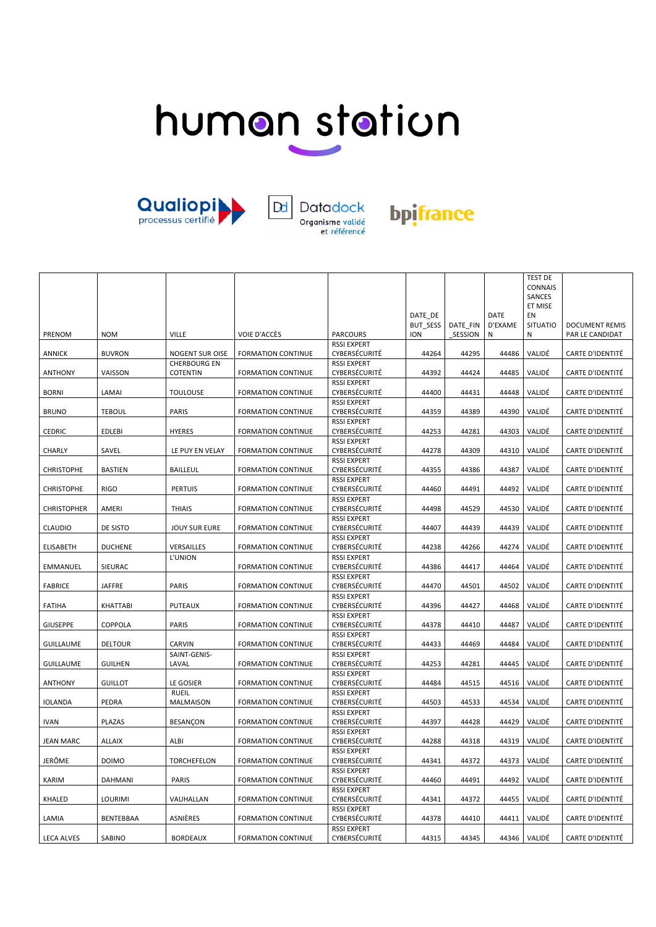# human station





### bpifrance

|                    |                  |                      |                           |                    |            |          |             | <b>TEST DE</b>  |                         |
|--------------------|------------------|----------------------|---------------------------|--------------------|------------|----------|-------------|-----------------|-------------------------|
|                    |                  |                      |                           |                    |            |          |             | CONNAIS         |                         |
|                    |                  |                      |                           |                    |            |          |             | SANCES          |                         |
|                    |                  |                      |                           |                    |            |          |             | ET MISE         |                         |
|                    |                  |                      |                           |                    | DATE DE    |          | <b>DATE</b> | EN              |                         |
|                    |                  |                      |                           |                    | BUT_SESS   | DATE FIN | D'EXAME     | <b>SITUATIO</b> | <b>DOCUMENT REMIS</b>   |
| PRENOM             | <b>NOM</b>       | <b>VILLE</b>         | VOIE D'ACCÈS              | <b>PARCOURS</b>    | <b>ION</b> | SESSION  | N           | Ν               | PAR LE CANDIDAT         |
|                    |                  |                      |                           | <b>RSSI EXPERT</b> |            |          |             |                 |                         |
| ANNICK             | <b>BUVRON</b>    | NOGENT SUR OISE      | <b>FORMATION CONTINUE</b> | CYBERSÉCURITÉ      | 44264      | 44295    | 44486       | VALIDÉ          | CARTE D'IDENTITÉ        |
|                    |                  | <b>CHERBOURG EN</b>  |                           | <b>RSSI EXPERT</b> |            |          |             |                 |                         |
| <b>ANTHONY</b>     | VAISSON          | <b>COTENTIN</b>      | <b>FORMATION CONTINUE</b> | CYBERSÉCURITÉ      | 44392      | 44424    | 44485       | VALIDÉ          | CARTE D'IDENTITÉ        |
|                    |                  |                      |                           | <b>RSSI EXPERT</b> |            |          |             |                 |                         |
| <b>BORNI</b>       | LAMAI            | <b>TOULOUSE</b>      | <b>FORMATION CONTINUE</b> | CYBERSÉCURITÉ      | 44400      | 44431    | 44448       | VALIDÉ          | CARTE D'IDENTITÉ        |
|                    |                  |                      |                           | <b>RSSI EXPERT</b> |            |          |             |                 |                         |
| <b>BRUNO</b>       | <b>TEBOUL</b>    | <b>PARIS</b>         | <b>FORMATION CONTINUE</b> | CYBERSÉCURITÉ      | 44359      | 44389    | 44390       | VALIDÉ          | <b>CARTE D'IDENTITÉ</b> |
|                    |                  |                      |                           | <b>RSSI EXPERT</b> |            |          |             |                 |                         |
| CEDRIC             | <b>EDLEBI</b>    | <b>HYERES</b>        | <b>FORMATION CONTINUE</b> | CYBERSÉCURITÉ      | 44253      | 44281    | 44303       | VALIDÉ          | CARTE D'IDENTITÉ        |
|                    |                  |                      |                           | <b>RSSI EXPERT</b> |            |          |             |                 |                         |
|                    |                  |                      |                           | CYBERSÉCURITÉ      |            |          |             |                 |                         |
| CHARLY             | SAVEL            | LE PUY EN VELAY      | <b>FORMATION CONTINUE</b> |                    | 44278      | 44309    | 44310       | VALIDÉ          | CARTE D'IDENTITÉ        |
|                    |                  |                      |                           | <b>RSSI EXPERT</b> |            |          |             |                 |                         |
| <b>CHRISTOPHE</b>  | <b>BASTIEN</b>   | <b>BAILLEUL</b>      | <b>FORMATION CONTINUE</b> | CYBERSÉCURITÉ      | 44355      | 44386    | 44387       | VALIDÉ          | <b>CARTE D'IDENTITÉ</b> |
|                    |                  |                      |                           | <b>RSSI EXPERT</b> |            |          |             |                 |                         |
| <b>CHRISTOPHE</b>  | <b>RIGO</b>      | <b>PERTUIS</b>       | <b>FORMATION CONTINUE</b> | CYBERSÉCURITÉ      | 44460      | 44491    | 44492       | VALIDÉ          | CARTE D'IDENTITÉ        |
|                    |                  |                      |                           | <b>RSSI EXPERT</b> |            |          |             |                 |                         |
| <b>CHRISTOPHER</b> | AMERI            | <b>THIAIS</b>        | <b>FORMATION CONTINUE</b> | CYBERSÉCURITÉ      | 44498      | 44529    | 44530       | VALIDÉ          | CARTE D'IDENTITÉ        |
|                    |                  |                      |                           | <b>RSSI EXPERT</b> |            |          |             |                 |                         |
| <b>CLAUDIO</b>     | DE SISTO         | <b>JOUY SUR EURE</b> | <b>FORMATION CONTINUE</b> | CYBERSÉCURITÉ      | 44407      | 44439    | 44439       | VALIDÉ          | <b>CARTE D'IDENTITÉ</b> |
|                    |                  |                      |                           | <b>RSSI EXPERT</b> |            |          |             |                 |                         |
| <b>ELISABETH</b>   | <b>DUCHENE</b>   | VERSAILLES           | <b>FORMATION CONTINUE</b> | CYBERSÉCURITÉ      | 44238      | 44266    | 44274       | VALIDÉ          | <b>CARTE D'IDENTITÉ</b> |
|                    |                  | L'UNION              |                           | <b>RSSI EXPERT</b> |            |          |             |                 |                         |
| <b>EMMANUEL</b>    | SIEURAC          |                      | <b>FORMATION CONTINUE</b> | CYBERSÉCURITÉ      | 44386      | 44417    | 44464       | VALIDÉ          | CARTE D'IDENTITÉ        |
|                    |                  |                      |                           | <b>RSSI EXPERT</b> |            |          |             |                 |                         |
| <b>FABRICE</b>     | <b>JAFFRE</b>    | <b>PARIS</b>         | <b>FORMATION CONTINUE</b> | CYBERSÉCURITÉ      | 44470      | 44501    | 44502       | VALIDÉ          | <b>CARTE D'IDENTITÉ</b> |
|                    |                  |                      |                           | <b>RSSI EXPERT</b> |            |          |             |                 |                         |
| <b>FATIHA</b>      | <b>KHATTABI</b>  | <b>PUTEAUX</b>       | <b>FORMATION CONTINUE</b> | CYBERSÉCURITÉ      | 44396      | 44427    | 44468       | VALIDÉ          | CARTE D'IDENTITÉ        |
|                    |                  |                      |                           | <b>RSSI EXPERT</b> |            |          |             |                 |                         |
| <b>GIUSEPPE</b>    | COPPOLA          | <b>PARIS</b>         | <b>FORMATION CONTINUE</b> | CYBERSÉCURITÉ      | 44378      | 44410    | 44487       | VALIDÉ          | CARTE D'IDENTITÉ        |
|                    |                  |                      |                           | <b>RSSI EXPERT</b> |            |          |             |                 |                         |
| <b>GUILLAUME</b>   | <b>DELTOUR</b>   | CARVIN               | <b>FORMATION CONTINUE</b> | CYBERSÉCURITÉ      | 44433      | 44469    | 44484       | VALIDÉ          | <b>CARTE D'IDENTITÉ</b> |
|                    |                  | SAINT-GENIS-         |                           | <b>RSSI EXPERT</b> |            |          |             |                 |                         |
| <b>GUILLAUME</b>   | <b>GUILHEN</b>   | LAVAL                | <b>FORMATION CONTINUE</b> | CYBERSÉCURITÉ      | 44253      | 44281    | 44445       | VALIDÉ          | CARTE D'IDENTITÉ        |
|                    |                  |                      |                           | <b>RSSI EXPERT</b> |            |          |             |                 |                         |
| <b>ANTHONY</b>     | <b>GUILLOT</b>   | LE GOSIER            | <b>FORMATION CONTINUE</b> | CYBERSÉCURITÉ      | 44484      | 44515    | 44516       | VALIDÉ          | CARTE D'IDENTITÉ        |
|                    |                  | <b>RUEIL</b>         |                           | <b>RSSI EXPERT</b> |            |          |             |                 |                         |
| <b>IOLANDA</b>     | PEDRA            | MALMAISON            | <b>FORMATION CONTINUE</b> | CYBERSÉCURITÉ      | 44503      | 44533    | 44534       | VALIDÉ          | CARTE D'IDENTITÉ        |
|                    |                  |                      |                           | <b>RSSI EXPERT</b> |            |          |             |                 |                         |
| <b>IVAN</b>        | <b>PLAZAS</b>    | BESANÇON             | <b>FORMATION CONTINUE</b> | CYBERSÉCURITÉ      | 44397      | 44428    | 44429       | VALIDÉ          | <b>CARTE D'IDENTITÉ</b> |
|                    |                  |                      |                           | <b>RSSI EXPERT</b> |            |          |             |                 |                         |
| <b>JEAN MARC</b>   | <b>ALLAIX</b>    | ALBI                 | <b>FORMATION CONTINUE</b> | CYBERSÉCURITÉ      | 44288      | 44318    | 44319       | VALIDÉ          | <b>CARTE D'IDENTITÉ</b> |
|                    |                  |                      |                           | <b>RSSI EXPERT</b> |            |          |             |                 |                         |
| JERÔME             | <b>DOIMO</b>     | <b>TORCHEFELON</b>   | <b>FORMATION CONTINUE</b> | CYBERSÉCURITÉ      | 44341      | 44372    | 44373       | VALIDÉ          | CARTE D'IDENTITÉ        |
|                    |                  |                      |                           | <b>RSSI EXPERT</b> |            |          |             |                 |                         |
| KARIM              | <b>DAHMANI</b>   | <b>PARIS</b>         | <b>FORMATION CONTINUE</b> | CYBERSÉCURITÉ      | 44460      | 44491    | 44492       | VALIDÉ          | <b>CARTE D'IDENTITÉ</b> |
|                    |                  |                      |                           | <b>RSSI EXPERT</b> |            |          |             |                 |                         |
| KHALED             | <b>LOURIMI</b>   | VAUHALLAN            | <b>FORMATION CONTINUE</b> | CYBERSÉCURITÉ      | 44341      | 44372    | 44455       | VALIDÉ          | CARTE D'IDENTITÉ        |
|                    |                  |                      |                           | <b>RSSI EXPERT</b> |            |          |             |                 |                         |
| LAMIA              | <b>BENTEBBAA</b> | ASNIÈRES             | <b>FORMATION CONTINUE</b> | CYBERSÉCURITÉ      | 44378      | 44410    | 44411       | VALIDÉ          | <b>CARTE D'IDENTITÉ</b> |
|                    |                  |                      |                           | <b>RSSI EXPERT</b> |            |          |             |                 |                         |
| <b>LECA ALVES</b>  | SABINO           | <b>BORDEAUX</b>      | <b>FORMATION CONTINUE</b> | CYBERSÉCURITÉ      | 44315      | 44345    | 44346       | VALIDÉ          | <b>CARTE D'IDENTITÉ</b> |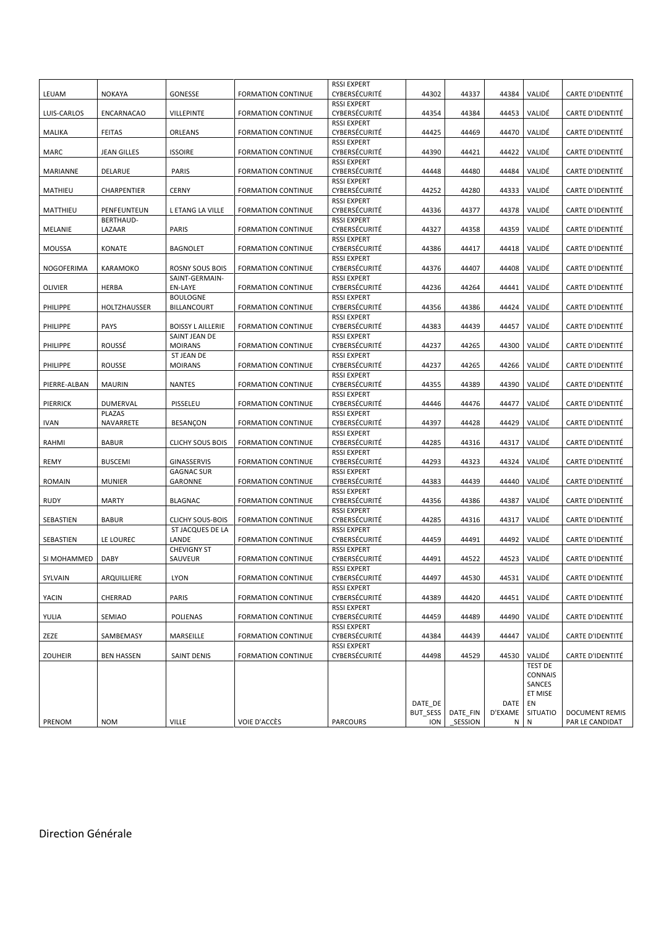|                |                                  |                          |                           | <b>RSSI EXPERT</b>                  |            |          |         |                |                         |
|----------------|----------------------------------|--------------------------|---------------------------|-------------------------------------|------------|----------|---------|----------------|-------------------------|
| LEUAM          | <b>NOKAYA</b>                    | GONESSE                  | <b>FORMATION CONTINUE</b> | CYBERSÉCURITÉ                       | 44302      | 44337    | 44384   | VALIDÉ         | <b>CARTE D'IDENTITÉ</b> |
|                |                                  |                          |                           | <b>RSSI EXPERT</b>                  |            |          |         |                |                         |
| LUIS-CARLOS    | ENCARNACAO                       | <b>VILLEPINTE</b>        | <b>FORMATION CONTINUE</b> | CYBERSÉCURITÉ                       | 44354      | 44384    | 44453   | VALIDÉ         | <b>CARTE D'IDENTITÉ</b> |
|                |                                  |                          |                           | <b>RSSI EXPERT</b>                  |            |          |         |                |                         |
| MALIKA         | <b>FEITAS</b>                    | ORLEANS                  | <b>FORMATION CONTINUE</b> | CYBERSÉCURITÉ                       | 44425      | 44469    | 44470   | VALIDÉ         | CARTE D'IDENTITÉ        |
|                |                                  |                          |                           | <b>RSSI EXPERT</b>                  |            |          |         |                |                         |
| <b>MARC</b>    | <b>JEAN GILLES</b>               | <b>ISSOIRE</b>           | <b>FORMATION CONTINUE</b> | CYBERSÉCURITÉ                       | 44390      | 44421    | 44422   | VALIDÉ         | <b>CARTE D'IDENTITÉ</b> |
|                |                                  |                          |                           | <b>RSSI EXPERT</b>                  |            |          |         |                |                         |
| MARIANNE       | DELARUE                          | <b>PARIS</b>             | <b>FORMATION CONTINUE</b> | CYBERSÉCURITÉ                       | 44448      | 44480    | 44484   | VALIDÉ         | <b>CARTE D'IDENTITÉ</b> |
|                |                                  |                          |                           | <b>RSSI EXPERT</b>                  |            |          |         |                |                         |
| MATHIEU        | CHARPENTIER                      | <b>CERNY</b>             | <b>FORMATION CONTINUE</b> | CYBERSÉCURITÉ                       | 44252      | 44280    | 44333   | VALIDÉ         | <b>CARTE D'IDENTITÉ</b> |
|                |                                  |                          |                           | <b>RSSI EXPERT</b>                  |            |          |         |                |                         |
| MATTHIEU       | PENFEUNTEUN<br><b>BERTHAUD-</b>  | L ETANG LA VILLE         | <b>FORMATION CONTINUE</b> | CYBERSÉCURITÉ<br><b>RSSI EXPERT</b> | 44336      | 44377    | 44378   | VALIDÉ         | <b>CARTE D'IDENTITÉ</b> |
| MELANIE        | LAZAAR                           | PARIS                    | <b>FORMATION CONTINUE</b> | CYBERSÉCURITÉ                       | 44327      | 44358    | 44359   | VALIDÉ         | <b>CARTE D'IDENTITÉ</b> |
|                |                                  |                          |                           | <b>RSSI EXPERT</b>                  |            |          |         |                |                         |
| <b>MOUSSA</b>  | <b>KONATE</b>                    | <b>BAGNOLET</b>          | <b>FORMATION CONTINUE</b> | CYBERSÉCURITÉ                       | 44386      | 44417    | 44418   | VALIDÉ         | <b>CARTE D'IDENTITÉ</b> |
|                |                                  |                          |                           | <b>RSSI EXPERT</b>                  |            |          |         |                |                         |
| NOGOFERIMA     | KARAMOKO                         | <b>ROSNY SOUS BOIS</b>   | <b>FORMATION CONTINUE</b> | CYBERSÉCURITÉ                       | 44376      | 44407    | 44408   | VALIDÉ         | CARTE D'IDENTITÉ        |
|                |                                  | SAINT-GERMAIN-           |                           | <b>RSSI EXPERT</b>                  |            |          |         |                |                         |
| <b>OLIVIER</b> | <b>HERBA</b>                     | EN-LAYE                  | <b>FORMATION CONTINUE</b> | CYBERSÉCURITÉ                       | 44236      | 44264    | 44441   | VALIDÉ         | <b>CARTE D'IDENTITÉ</b> |
|                |                                  | <b>BOULOGNE</b>          |                           | <b>RSSI EXPERT</b>                  |            |          |         |                |                         |
| PHILIPPE       | HOLTZHAUSSER                     | <b>BILLANCOURT</b>       | <b>FORMATION CONTINUE</b> | CYBERSÉCURITÉ                       | 44356      | 44386    | 44424   | VALIDÉ         | <b>CARTE D'IDENTITÉ</b> |
|                |                                  |                          |                           | <b>RSSI EXPERT</b>                  |            |          |         |                |                         |
| PHILIPPE       | <b>PAYS</b>                      | <b>BOISSY L AILLERIE</b> | <b>FORMATION CONTINUE</b> | CYBERSÉCURITÉ                       | 44383      | 44439    | 44457   | VALIDÉ         | <b>CARTE D'IDENTITÉ</b> |
|                |                                  | SAINT JEAN DE            |                           | <b>RSSI EXPERT</b>                  |            |          |         |                |                         |
| PHILIPPE       | ROUSSÉ                           | <b>MOIRANS</b>           | <b>FORMATION CONTINUE</b> | CYBERSÉCURITÉ                       | 44237      | 44265    | 44300   | VALIDÉ         | <b>CARTE D'IDENTITÉ</b> |
|                |                                  | <b>ST JEAN DE</b>        |                           | <b>RSSI EXPERT</b>                  |            |          |         |                |                         |
| PHILIPPE       | <b>ROUSSE</b>                    | <b>MOIRANS</b>           | <b>FORMATION CONTINUE</b> | CYBERSÉCURITÉ                       | 44237      | 44265    | 44266   | VALIDÉ         | <b>CARTE D'IDENTITÉ</b> |
|                |                                  |                          |                           | <b>RSSI EXPERT</b>                  |            |          |         |                |                         |
| PIERRE-ALBAN   | <b>MAURIN</b>                    | <b>NANTES</b>            | <b>FORMATION CONTINUE</b> | CYBERSÉCURITÉ                       | 44355      | 44389    | 44390   | VALIDÉ         | <b>CARTE D'IDENTITÉ</b> |
|                |                                  |                          |                           | <b>RSSI EXPERT</b><br>CYBERSÉCURITÉ |            |          |         |                |                         |
| PIERRICK       | <b>DUMERVAL</b><br><b>PLAZAS</b> | PISSELEU                 | <b>FORMATION CONTINUE</b> | <b>RSSI EXPERT</b>                  | 44446      | 44476    | 44477   | VALIDÉ         | <b>CARTE D'IDENTITÉ</b> |
| <b>IVAN</b>    | NAVARRETE                        | <b>BESANÇON</b>          | <b>FORMATION CONTINUE</b> | CYBERSÉCURITÉ                       | 44397      | 44428    | 44429   | VALIDÉ         | CARTE D'IDENTITÉ        |
|                |                                  |                          |                           | <b>RSSI EXPERT</b>                  |            |          |         |                |                         |
| RAHMI          | <b>BABUR</b>                     | <b>CLICHY SOUS BOIS</b>  | <b>FORMATION CONTINUE</b> | CYBERSÉCURITÉ                       | 44285      | 44316    | 44317   | VALIDÉ         | <b>CARTE D'IDENTITÉ</b> |
|                |                                  |                          |                           | <b>RSSI EXPERT</b>                  |            |          |         |                |                         |
| <b>REMY</b>    | <b>BUSCEMI</b>                   | GINASSERVIS              | <b>FORMATION CONTINUE</b> | CYBERSÉCURITÉ                       | 44293      | 44323    | 44324   | VALIDÉ         | CARTE D'IDENTITÉ        |
|                |                                  | <b>GAGNAC SUR</b>        |                           | <b>RSSI EXPERT</b>                  |            |          |         |                |                         |
| ROMAIN         | <b>MUNIER</b>                    | GARONNE                  | <b>FORMATION CONTINUE</b> | CYBERSÉCURITÉ                       | 44383      | 44439    | 44440   | VALIDÉ         | <b>CARTE D'IDENTITÉ</b> |
|                |                                  |                          |                           | <b>RSSI EXPERT</b>                  |            |          |         |                |                         |
| <b>RUDY</b>    | <b>MARTY</b>                     | <b>BLAGNAC</b>           | <b>FORMATION CONTINUE</b> | CYBERSÉCURITÉ                       | 44356      | 44386    | 44387   | VALIDÉ         | <b>CARTE D'IDENTITÉ</b> |
|                |                                  |                          |                           | <b>RSSI EXPERT</b>                  |            |          |         |                |                         |
| SEBASTIEN      | <b>BABUR</b>                     | <b>CLICHY SOUS-BOIS</b>  | <b>FORMATION CONTINUE</b> | CYBERSÉCURITÉ                       | 44285      | 44316    | 44317   | VALIDÉ         | <b>CARTE D'IDENTITÉ</b> |
|                |                                  | ST JACQUES DE LA         |                           | <b>RSSI EXPERT</b>                  |            |          |         |                |                         |
| SEBASTIEN      | LE LOUREC                        | LANDE                    | <b>FORMATION CONTINUE</b> | CYBERSÉCURITÉ                       | 44459      | 44491    | 44492   | VALIDÉ         | <b>CARTE D'IDENTITÉ</b> |
|                |                                  | <b>CHEVIGNY ST</b>       |                           | <b>RSSI EXPERT</b>                  |            |          |         |                |                         |
| SI MOHAMMED    | <b>DABY</b>                      | SAUVEUR                  | <b>FORMATION CONTINUE</b> | CYBERSÉCURITÉ                       | 44491      | 44522    | 44523   | VALIDÉ         | <b>CARTE D'IDENTITÉ</b> |
|                |                                  |                          |                           | <b>RSSI EXPERT</b>                  |            |          |         |                |                         |
| SYLVAIN        | ARQUILLIERE                      | <b>LYON</b>              | <b>FORMATION CONTINUE</b> | CYBERSÉCURITÉ                       | 44497      | 44530    | 44531   | VALIDÉ         | CARTE D'IDENTITÉ        |
| YACIN          | CHERRAD                          | PARIS                    | <b>FORMATION CONTINUE</b> | <b>RSSI EXPERT</b><br>CYBERSÉCURITÉ | 44389      | 44420    | 44451   | VALIDÉ         | <b>CARTE D'IDENTITÉ</b> |
|                |                                  |                          |                           | <b>RSSI EXPERT</b>                  |            |          |         |                |                         |
| YULIA          | SEMIAO                           | POLIENAS                 | <b>FORMATION CONTINUE</b> | CYBERSÉCURITÉ                       | 44459      | 44489    | 44490   | VALIDÉ         | CARTE D'IDENTITÉ        |
|                |                                  |                          |                           | <b>RSSI EXPERT</b>                  |            |          |         |                |                         |
| ZEZE           | SAMBEMASY                        | MARSEILLE                | FORMATION CONTINUE        | CYBERSÉCURITÉ                       | 44384      | 44439    | 44447   | VALIDÉ         | CARTE D'IDENTITÉ        |
|                |                                  |                          |                           | <b>RSSI EXPERT</b>                  |            |          |         |                |                         |
| ZOUHEIR        | <b>BEN HASSEN</b>                | <b>SAINT DENIS</b>       | FORMATION CONTINUE        | CYBERSÉCURITÉ                       | 44498      | 44529    | 44530   | VALIDÉ         | CARTE D'IDENTITÉ        |
|                |                                  |                          |                           |                                     |            |          |         | <b>TEST DE</b> |                         |
|                |                                  |                          |                           |                                     |            |          |         | <b>CONNAIS</b> |                         |
|                |                                  |                          |                           |                                     |            |          |         | SANCES         |                         |
|                |                                  |                          |                           |                                     |            |          |         | ET MISE        |                         |
|                |                                  |                          |                           |                                     | DATE DE    |          | DATE    | EN             |                         |
|                |                                  |                          |                           |                                     | BUT_SESS   | DATE_FIN | D'EXAME | SITUATIO       | <b>DOCUMENT REMIS</b>   |
| PRENOM         | <b>NOM</b>                       | <b>VILLE</b>             | VOIE D'ACCÈS              | <b>PARCOURS</b>                     | <b>ION</b> | SESSION  | N       | N              | PAR LE CANDIDAT         |